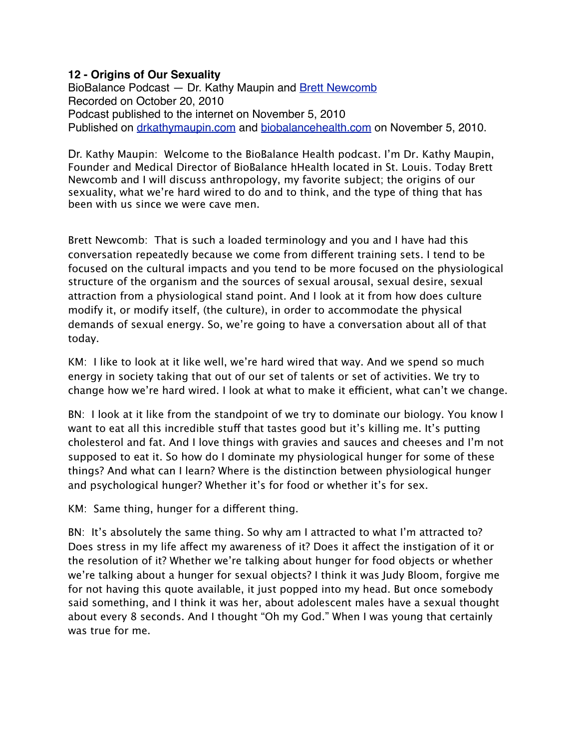## **12 - Origins of Our Sexuality**

BioBalance Podcast - Dr. Kathy Maupin and [Brett Newcomb](http://brettnewcomb.com/) Recorded on October 20, 2010 Podcast published to the internet on November 5, 2010 Published on [drkathymaupin.com](http://drkathymaupin.com/breast-cancer-part-1/) and [biobalancehealth.com](http://www.biobalancehealth.com/about/podcast-2/) on November 5, 2010.

Dr. Kathy Maupin: Welcome to the BioBalance Health podcast. I'm Dr. Kathy Maupin, Founder and Medical Director of BioBalance hHealth located in St. Louis. Today Brett Newcomb and I will discuss anthropology, my favorite subject; the origins of our sexuality, what we're hard wired to do and to think, and the type of thing that has been with us since we were cave men.

Brett Newcomb: That is such a loaded terminology and you and I have had this conversation repeatedly because we come from different training sets. I tend to be focused on the cultural impacts and you tend to be more focused on the physiological structure of the organism and the sources of sexual arousal, sexual desire, sexual attraction from a physiological stand point. And I look at it from how does culture modify it, or modify itself, (the culture), in order to accommodate the physical demands of sexual energy. So, we're going to have a conversation about all of that today.

KM: I like to look at it like well, we're hard wired that way. And we spend so much energy in society taking that out of our set of talents or set of activities. We try to change how we're hard wired. I look at what to make it efficient, what can't we change.

BN: I look at it like from the standpoint of we try to dominate our biology. You know I want to eat all this incredible stuff that tastes good but it's killing me. It's putting cholesterol and fat. And I love things with gravies and sauces and cheeses and I'm not supposed to eat it. So how do I dominate my physiological hunger for some of these things? And what can I learn? Where is the distinction between physiological hunger and psychological hunger? Whether it's for food or whether it's for sex.

KM: Same thing, hunger for a different thing.

BN: It's absolutely the same thing. So why am I attracted to what I'm attracted to? Does stress in my life affect my awareness of it? Does it affect the instigation of it or the resolution of it? Whether we're talking about hunger for food objects or whether we're talking about a hunger for sexual objects? I think it was Judy Bloom, forgive me for not having this quote available, it just popped into my head. But once somebody said something, and I think it was her, about adolescent males have a sexual thought about every 8 seconds. And I thought "Oh my God." When I was young that certainly was true for me.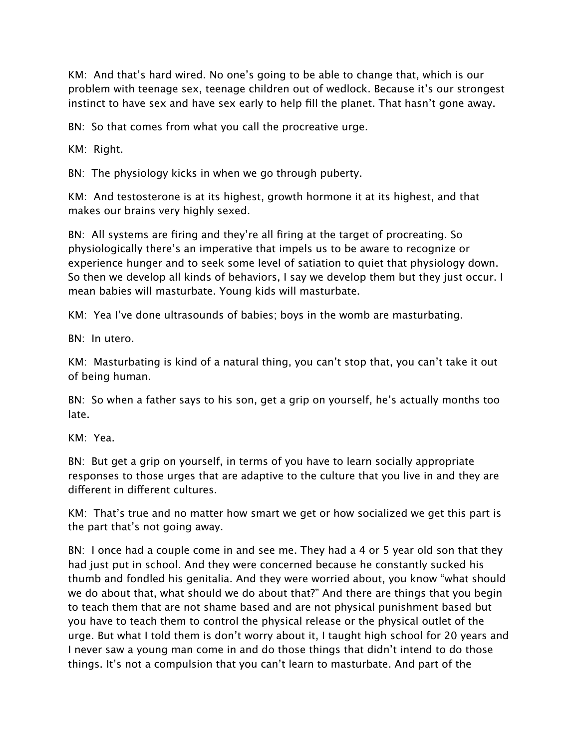KM: And that's hard wired. No one's going to be able to change that, which is our problem with teenage sex, teenage children out of wedlock. Because it's our strongest instinct to have sex and have sex early to help fill the planet. That hasn't gone away.

BN: So that comes from what you call the procreative urge.

KM: Right.

BN: The physiology kicks in when we go through puberty.

KM: And testosterone is at its highest, growth hormone it at its highest, and that makes our brains very highly sexed.

BN: All systems are firing and they're all firing at the target of procreating. So physiologically there's an imperative that impels us to be aware to recognize or experience hunger and to seek some level of satiation to quiet that physiology down. So then we develop all kinds of behaviors, I say we develop them but they just occur. I mean babies will masturbate. Young kids will masturbate.

KM: Yea I've done ultrasounds of babies; boys in the womb are masturbating.

BN: In utero.

KM: Masturbating is kind of a natural thing, you can't stop that, you can't take it out of being human.

BN: So when a father says to his son, get a grip on yourself, he's actually months too late.

KM: Yea.

BN: But get a grip on yourself, in terms of you have to learn socially appropriate responses to those urges that are adaptive to the culture that you live in and they are different in different cultures.

KM: That's true and no matter how smart we get or how socialized we get this part is the part that's not going away.

BN: I once had a couple come in and see me. They had a 4 or 5 year old son that they had just put in school. And they were concerned because he constantly sucked his thumb and fondled his genitalia. And they were worried about, you know "what should we do about that, what should we do about that?" And there are things that you begin to teach them that are not shame based and are not physical punishment based but you have to teach them to control the physical release or the physical outlet of the urge. But what I told them is don't worry about it, I taught high school for 20 years and I never saw a young man come in and do those things that didn't intend to do those things. It's not a compulsion that you can't learn to masturbate. And part of the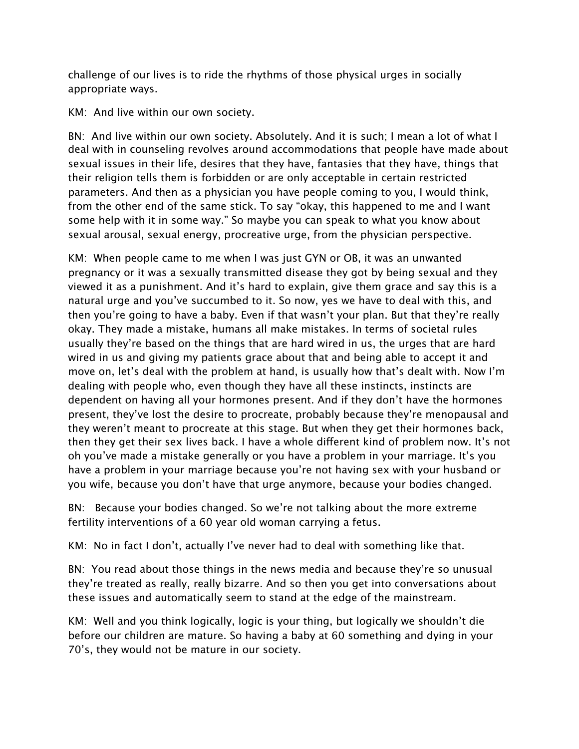challenge of our lives is to ride the rhythms of those physical urges in socially appropriate ways.

KM: And live within our own society.

BN: And live within our own society. Absolutely. And it is such; I mean a lot of what I deal with in counseling revolves around accommodations that people have made about sexual issues in their life, desires that they have, fantasies that they have, things that their religion tells them is forbidden or are only acceptable in certain restricted parameters. And then as a physician you have people coming to you, I would think, from the other end of the same stick. To say "okay, this happened to me and I want some help with it in some way." So maybe you can speak to what you know about sexual arousal, sexual energy, procreative urge, from the physician perspective.

KM: When people came to me when I was just GYN or OB, it was an unwanted pregnancy or it was a sexually transmitted disease they got by being sexual and they viewed it as a punishment. And it's hard to explain, give them grace and say this is a natural urge and you've succumbed to it. So now, yes we have to deal with this, and then you're going to have a baby. Even if that wasn't your plan. But that they're really okay. They made a mistake, humans all make mistakes. In terms of societal rules usually they're based on the things that are hard wired in us, the urges that are hard wired in us and giving my patients grace about that and being able to accept it and move on, let's deal with the problem at hand, is usually how that's dealt with. Now I'm dealing with people who, even though they have all these instincts, instincts are dependent on having all your hormones present. And if they don't have the hormones present, they've lost the desire to procreate, probably because they're menopausal and they weren't meant to procreate at this stage. But when they get their hormones back, then they get their sex lives back. I have a whole different kind of problem now. It's not oh you've made a mistake generally or you have a problem in your marriage. It's you have a problem in your marriage because you're not having sex with your husband or you wife, because you don't have that urge anymore, because your bodies changed.

BN: Because your bodies changed. So we're not talking about the more extreme fertility interventions of a 60 year old woman carrying a fetus.

KM: No in fact I don't, actually I've never had to deal with something like that.

BN: You read about those things in the news media and because they're so unusual they're treated as really, really bizarre. And so then you get into conversations about these issues and automatically seem to stand at the edge of the mainstream.

KM: Well and you think logically, logic is your thing, but logically we shouldn't die before our children are mature. So having a baby at 60 something and dying in your 70's, they would not be mature in our society.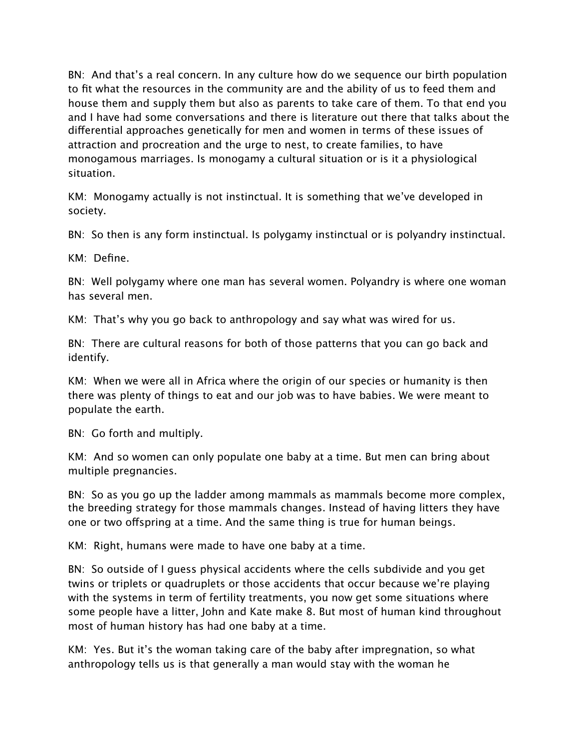BN: And that's a real concern. In any culture how do we sequence our birth population to fit what the resources in the community are and the ability of us to feed them and house them and supply them but also as parents to take care of them. To that end you and I have had some conversations and there is literature out there that talks about the differential approaches genetically for men and women in terms of these issues of attraction and procreation and the urge to nest, to create families, to have monogamous marriages. Is monogamy a cultural situation or is it a physiological situation.

KM: Monogamy actually is not instinctual. It is something that we've developed in society.

BN: So then is any form instinctual. Is polygamy instinctual or is polyandry instinctual.

KM: Define.

BN: Well polygamy where one man has several women. Polyandry is where one woman has several men.

KM: That's why you go back to anthropology and say what was wired for us.

BN: There are cultural reasons for both of those patterns that you can go back and identify.

KM: When we were all in Africa where the origin of our species or humanity is then there was plenty of things to eat and our job was to have babies. We were meant to populate the earth.

BN: Go forth and multiply.

KM: And so women can only populate one baby at a time. But men can bring about multiple pregnancies.

BN: So as you go up the ladder among mammals as mammals become more complex, the breeding strategy for those mammals changes. Instead of having litters they have one or two offspring at a time. And the same thing is true for human beings.

KM: Right, humans were made to have one baby at a time.

BN: So outside of I guess physical accidents where the cells subdivide and you get twins or triplets or quadruplets or those accidents that occur because we're playing with the systems in term of fertility treatments, you now get some situations where some people have a litter, John and Kate make 8. But most of human kind throughout most of human history has had one baby at a time.

KM: Yes. But it's the woman taking care of the baby after impregnation, so what anthropology tells us is that generally a man would stay with the woman he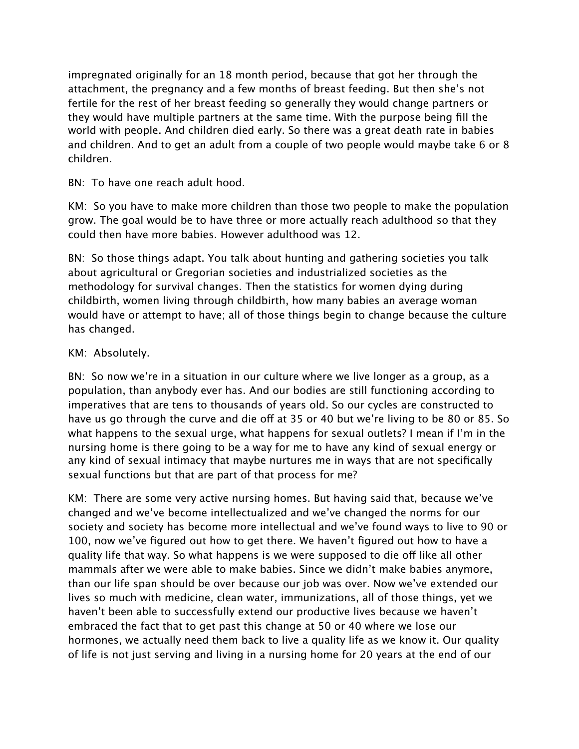impregnated originally for an 18 month period, because that got her through the attachment, the pregnancy and a few months of breast feeding. But then she's not fertile for the rest of her breast feeding so generally they would change partners or they would have multiple partners at the same time. With the purpose being fill the world with people. And children died early. So there was a great death rate in babies and children. And to get an adult from a couple of two people would maybe take 6 or 8 children.

BN: To have one reach adult hood.

KM: So you have to make more children than those two people to make the population grow. The goal would be to have three or more actually reach adulthood so that they could then have more babies. However adulthood was 12.

BN: So those things adapt. You talk about hunting and gathering societies you talk about agricultural or Gregorian societies and industrialized societies as the methodology for survival changes. Then the statistics for women dying during childbirth, women living through childbirth, how many babies an average woman would have or attempt to have; all of those things begin to change because the culture has changed.

## KM: Absolutely.

BN: So now we're in a situation in our culture where we live longer as a group, as a population, than anybody ever has. And our bodies are still functioning according to imperatives that are tens to thousands of years old. So our cycles are constructed to have us go through the curve and die off at 35 or 40 but we're living to be 80 or 85. So what happens to the sexual urge, what happens for sexual outlets? I mean if I'm in the nursing home is there going to be a way for me to have any kind of sexual energy or any kind of sexual intimacy that maybe nurtures me in ways that are not specifically sexual functions but that are part of that process for me?

KM: There are some very active nursing homes. But having said that, because we've changed and we've become intellectualized and we've changed the norms for our society and society has become more intellectual and we've found ways to live to 90 or 100, now we've figured out how to get there. We haven't figured out how to have a quality life that way. So what happens is we were supposed to die off like all other mammals after we were able to make babies. Since we didn't make babies anymore, than our life span should be over because our job was over. Now we've extended our lives so much with medicine, clean water, immunizations, all of those things, yet we haven't been able to successfully extend our productive lives because we haven't embraced the fact that to get past this change at 50 or 40 where we lose our hormones, we actually need them back to live a quality life as we know it. Our quality of life is not just serving and living in a nursing home for 20 years at the end of our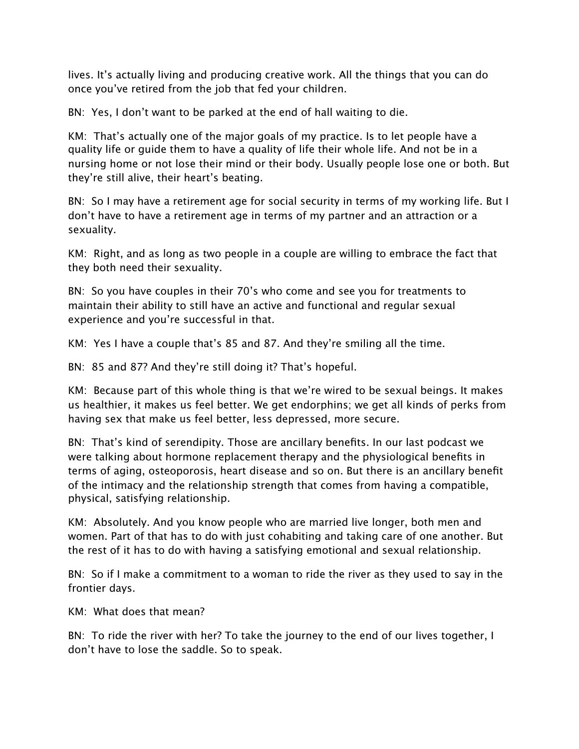lives. It's actually living and producing creative work. All the things that you can do once you've retired from the job that fed your children.

BN: Yes, I don't want to be parked at the end of hall waiting to die.

KM: That's actually one of the major goals of my practice. Is to let people have a quality life or guide them to have a quality of life their whole life. And not be in a nursing home or not lose their mind or their body. Usually people lose one or both. But they're still alive, their heart's beating.

BN: So I may have a retirement age for social security in terms of my working life. But I don't have to have a retirement age in terms of my partner and an attraction or a sexuality.

KM: Right, and as long as two people in a couple are willing to embrace the fact that they both need their sexuality.

BN: So you have couples in their 70's who come and see you for treatments to maintain their ability to still have an active and functional and regular sexual experience and you're successful in that.

KM: Yes I have a couple that's 85 and 87. And they're smiling all the time.

BN: 85 and 87? And they're still doing it? That's hopeful.

KM: Because part of this whole thing is that we're wired to be sexual beings. It makes us healthier, it makes us feel better. We get endorphins; we get all kinds of perks from having sex that make us feel better, less depressed, more secure.

BN: That's kind of serendipity. Those are ancillary benefits. In our last podcast we were talking about hormone replacement therapy and the physiological benefits in terms of aging, osteoporosis, heart disease and so on. But there is an ancillary benefit of the intimacy and the relationship strength that comes from having a compatible, physical, satisfying relationship.

KM: Absolutely. And you know people who are married live longer, both men and women. Part of that has to do with just cohabiting and taking care of one another. But the rest of it has to do with having a satisfying emotional and sexual relationship.

BN: So if I make a commitment to a woman to ride the river as they used to say in the frontier days.

KM: What does that mean?

BN: To ride the river with her? To take the journey to the end of our lives together, I don't have to lose the saddle. So to speak.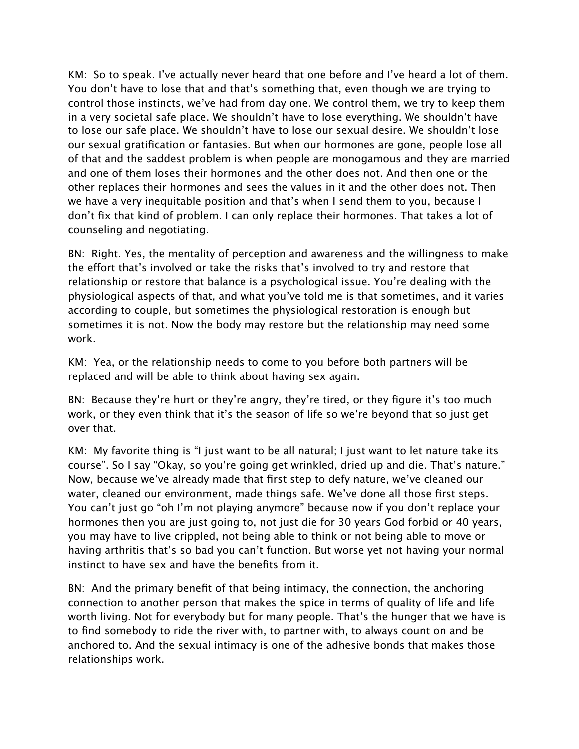KM: So to speak. I've actually never heard that one before and I've heard a lot of them. You don't have to lose that and that's something that, even though we are trying to control those instincts, we've had from day one. We control them, we try to keep them in a very societal safe place. We shouldn't have to lose everything. We shouldn't have to lose our safe place. We shouldn't have to lose our sexual desire. We shouldn't lose our sexual gratification or fantasies. But when our hormones are gone, people lose all of that and the saddest problem is when people are monogamous and they are married and one of them loses their hormones and the other does not. And then one or the other replaces their hormones and sees the values in it and the other does not. Then we have a very inequitable position and that's when I send them to you, because I don't fix that kind of problem. I can only replace their hormones. That takes a lot of counseling and negotiating.

BN: Right. Yes, the mentality of perception and awareness and the willingness to make the effort that's involved or take the risks that's involved to try and restore that relationship or restore that balance is a psychological issue. You're dealing with the physiological aspects of that, and what you've told me is that sometimes, and it varies according to couple, but sometimes the physiological restoration is enough but sometimes it is not. Now the body may restore but the relationship may need some work.

KM: Yea, or the relationship needs to come to you before both partners will be replaced and will be able to think about having sex again.

BN: Because they're hurt or they're angry, they're tired, or they figure it's too much work, or they even think that it's the season of life so we're beyond that so just get over that.

KM: My favorite thing is "I just want to be all natural; I just want to let nature take its course". So I say "Okay, so you're going get wrinkled, dried up and die. That's nature." Now, because we've already made that first step to defy nature, we've cleaned our water, cleaned our environment, made things safe. We've done all those first steps. You can't just go "oh I'm not playing anymore" because now if you don't replace your hormones then you are just going to, not just die for 30 years God forbid or 40 years, you may have to live crippled, not being able to think or not being able to move or having arthritis that's so bad you can't function. But worse yet not having your normal instinct to have sex and have the benefits from it.

BN: And the primary benefit of that being intimacy, the connection, the anchoring connection to another person that makes the spice in terms of quality of life and life worth living. Not for everybody but for many people. That's the hunger that we have is to find somebody to ride the river with, to partner with, to always count on and be anchored to. And the sexual intimacy is one of the adhesive bonds that makes those relationships work.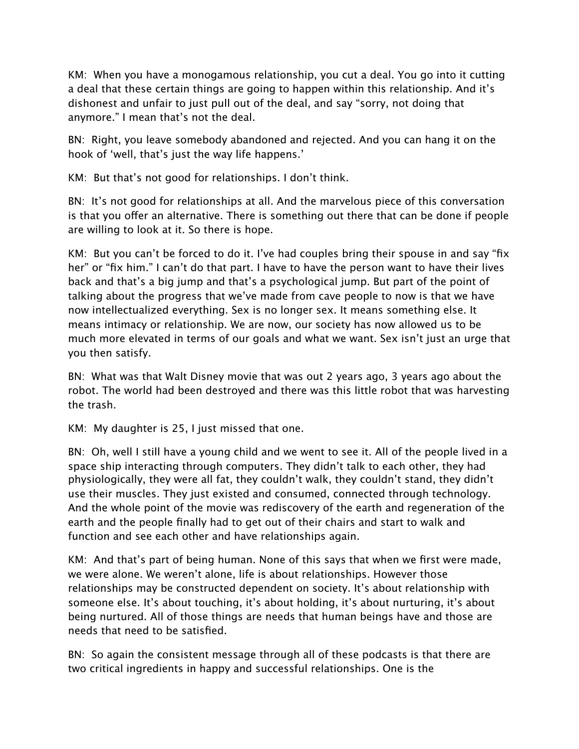KM: When you have a monogamous relationship, you cut a deal. You go into it cutting a deal that these certain things are going to happen within this relationship. And it's dishonest and unfair to just pull out of the deal, and say "sorry, not doing that anymore." I mean that's not the deal.

BN: Right, you leave somebody abandoned and rejected. And you can hang it on the hook of 'well, that's just the way life happens.'

KM: But that's not good for relationships. I don't think.

BN: It's not good for relationships at all. And the marvelous piece of this conversation is that you offer an alternative. There is something out there that can be done if people are willing to look at it. So there is hope.

KM: But you can't be forced to do it. I've had couples bring their spouse in and say "fix her" or "fix him." I can't do that part. I have to have the person want to have their lives back and that's a big jump and that's a psychological jump. But part of the point of talking about the progress that we've made from cave people to now is that we have now intellectualized everything. Sex is no longer sex. It means something else. It means intimacy or relationship. We are now, our society has now allowed us to be much more elevated in terms of our goals and what we want. Sex isn't just an urge that you then satisfy.

BN: What was that Walt Disney movie that was out 2 years ago, 3 years ago about the robot. The world had been destroyed and there was this little robot that was harvesting the trash.

KM: My daughter is 25, I just missed that one.

BN: Oh, well I still have a young child and we went to see it. All of the people lived in a space ship interacting through computers. They didn't talk to each other, they had physiologically, they were all fat, they couldn't walk, they couldn't stand, they didn't use their muscles. They just existed and consumed, connected through technology. And the whole point of the movie was rediscovery of the earth and regeneration of the earth and the people finally had to get out of their chairs and start to walk and function and see each other and have relationships again.

KM: And that's part of being human. None of this says that when we first were made, we were alone. We weren't alone, life is about relationships. However those relationships may be constructed dependent on society. It's about relationship with someone else. It's about touching, it's about holding, it's about nurturing, it's about being nurtured. All of those things are needs that human beings have and those are needs that need to be satisfied.

BN: So again the consistent message through all of these podcasts is that there are two critical ingredients in happy and successful relationships. One is the